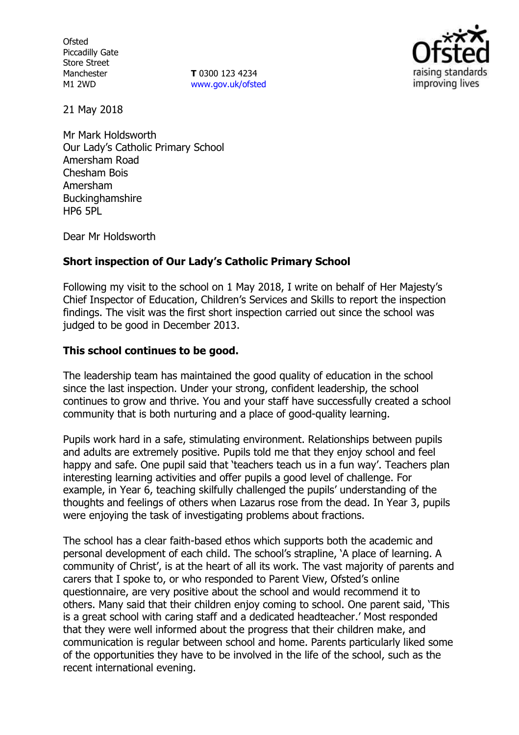**Ofsted** Piccadilly Gate Store Street Manchester M1 2WD

**T** 0300 123 4234 www.gov.uk/ofsted



21 May 2018

Mr Mark Holdsworth Our Lady's Catholic Primary School Amersham Road Chesham Bois Amersham Buckinghamshire HP6 5PL

Dear Mr Holdsworth

# **Short inspection of Our Lady's Catholic Primary School**

Following my visit to the school on 1 May 2018, I write on behalf of Her Majesty's Chief Inspector of Education, Children's Services and Skills to report the inspection findings. The visit was the first short inspection carried out since the school was judged to be good in December 2013.

# **This school continues to be good.**

The leadership team has maintained the good quality of education in the school since the last inspection. Under your strong, confident leadership, the school continues to grow and thrive. You and your staff have successfully created a school community that is both nurturing and a place of good-quality learning.

Pupils work hard in a safe, stimulating environment. Relationships between pupils and adults are extremely positive. Pupils told me that they enjoy school and feel happy and safe. One pupil said that 'teachers teach us in a fun way'. Teachers plan interesting learning activities and offer pupils a good level of challenge. For example, in Year 6, teaching skilfully challenged the pupils' understanding of the thoughts and feelings of others when Lazarus rose from the dead. In Year 3, pupils were enjoying the task of investigating problems about fractions.

The school has a clear faith-based ethos which supports both the academic and personal development of each child. The school's strapline, 'A place of learning. A community of Christ', is at the heart of all its work. The vast majority of parents and carers that I spoke to, or who responded to Parent View, Ofsted's online questionnaire, are very positive about the school and would recommend it to others. Many said that their children enjoy coming to school. One parent said, 'This is a great school with caring staff and a dedicated headteacher.' Most responded that they were well informed about the progress that their children make, and communication is regular between school and home. Parents particularly liked some of the opportunities they have to be involved in the life of the school, such as the recent international evening.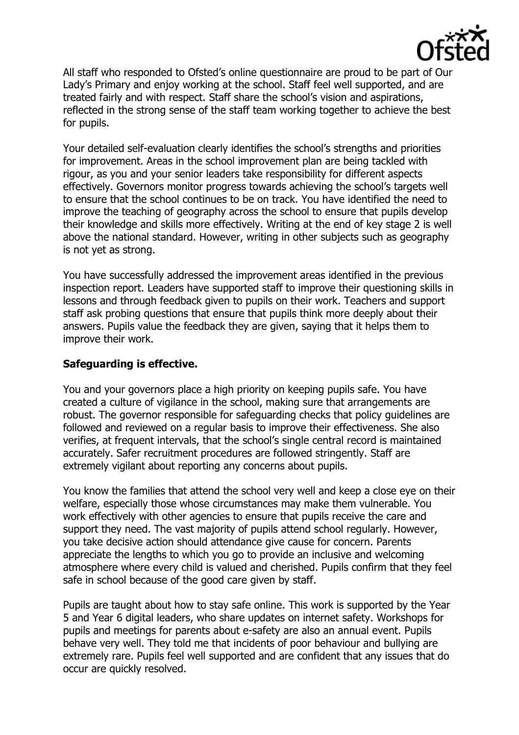

All staff who responded to Ofsted's online questionnaire are proud to be part of Our Lady's Primary and enjoy working at the school. Staff feel well supported, and are treated fairly and with respect. Staff share the school's vision and aspirations, reflected in the strong sense of the staff team working together to achieve the best for pupils.

Your detailed self-evaluation clearly identifies the school's strengths and priorities for improvement. Areas in the school improvement plan are being tackled with rigour, as you and your senior leaders take responsibility for different aspects effectively. Governors monitor progress towards achieving the school's targets well to ensure that the school continues to be on track. You have identified the need to improve the teaching of geography across the school to ensure that pupils develop their knowledge and skills more effectively. Writing at the end of key stage 2 is well above the national standard. However, writing in other subjects such as geography is not yet as strong.

You have successfully addressed the improvement areas identified in the previous inspection report. Leaders have supported staff to improve their questioning skills in lessons and through feedback given to pupils on their work. Teachers and support staff ask probing questions that ensure that pupils think more deeply about their answers. Pupils value the feedback they are given, saying that it helps them to improve their work.

# **Safeguarding is effective.**

You and your governors place a high priority on keeping pupils safe. You have created a culture of vigilance in the school, making sure that arrangements are robust. The governor responsible for safeguarding checks that policy guidelines are followed and reviewed on a regular basis to improve their effectiveness. She also verifies, at frequent intervals, that the school's single central record is maintained accurately. Safer recruitment procedures are followed stringently. Staff are extremely vigilant about reporting any concerns about pupils.

You know the families that attend the school very well and keep a close eye on their welfare, especially those whose circumstances may make them vulnerable. You work effectively with other agencies to ensure that pupils receive the care and support they need. The vast majority of pupils attend school regularly. However, you take decisive action should attendance give cause for concern. Parents appreciate the lengths to which you go to provide an inclusive and welcoming atmosphere where every child is valued and cherished. Pupils confirm that they feel safe in school because of the good care given by staff.

Pupils are taught about how to stay safe online. This work is supported by the Year 5 and Year 6 digital leaders, who share updates on internet safety. Workshops for pupils and meetings for parents about e-safety are also an annual event. Pupils behave very well. They told me that incidents of poor behaviour and bullying are extremely rare. Pupils feel well supported and are confident that any issues that do occur are quickly resolved.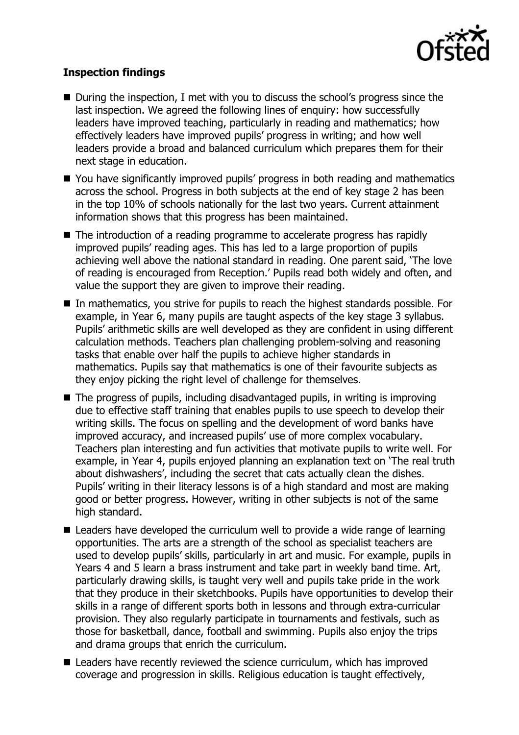

# **Inspection findings**

- During the inspection, I met with you to discuss the school's progress since the last inspection. We agreed the following lines of enquiry: how successfully leaders have improved teaching, particularly in reading and mathematics; how effectively leaders have improved pupils' progress in writing; and how well leaders provide a broad and balanced curriculum which prepares them for their next stage in education.
- You have significantly improved pupils' progress in both reading and mathematics across the school. Progress in both subjects at the end of key stage 2 has been in the top 10% of schools nationally for the last two years. Current attainment information shows that this progress has been maintained.
- The introduction of a reading programme to accelerate progress has rapidly improved pupils' reading ages. This has led to a large proportion of pupils achieving well above the national standard in reading. One parent said, 'The love of reading is encouraged from Reception.' Pupils read both widely and often, and value the support they are given to improve their reading.
- In mathematics, you strive for pupils to reach the highest standards possible. For example, in Year 6, many pupils are taught aspects of the key stage 3 syllabus. Pupils' arithmetic skills are well developed as they are confident in using different calculation methods. Teachers plan challenging problem-solving and reasoning tasks that enable over half the pupils to achieve higher standards in mathematics. Pupils say that mathematics is one of their favourite subjects as they enjoy picking the right level of challenge for themselves.
- $\blacksquare$  The progress of pupils, including disadvantaged pupils, in writing is improving due to effective staff training that enables pupils to use speech to develop their writing skills. The focus on spelling and the development of word banks have improved accuracy, and increased pupils' use of more complex vocabulary. Teachers plan interesting and fun activities that motivate pupils to write well. For example, in Year 4, pupils enjoyed planning an explanation text on 'The real truth about dishwashers', including the secret that cats actually clean the dishes. Pupils' writing in their literacy lessons is of a high standard and most are making good or better progress. However, writing in other subjects is not of the same high standard.
- Leaders have developed the curriculum well to provide a wide range of learning opportunities. The arts are a strength of the school as specialist teachers are used to develop pupils' skills, particularly in art and music. For example, pupils in Years 4 and 5 learn a brass instrument and take part in weekly band time. Art, particularly drawing skills, is taught very well and pupils take pride in the work that they produce in their sketchbooks. Pupils have opportunities to develop their skills in a range of different sports both in lessons and through extra-curricular provision. They also regularly participate in tournaments and festivals, such as those for basketball, dance, football and swimming. Pupils also enjoy the trips and drama groups that enrich the curriculum.
- Leaders have recently reviewed the science curriculum, which has improved coverage and progression in skills. Religious education is taught effectively,